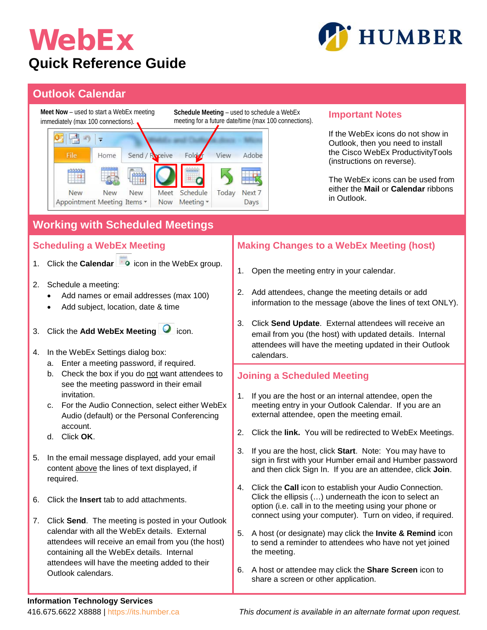## WebEx **Quick Reference Guide**



## **Outlook Calendar**



## **Information Technology Services**

416.675.6622 X8888 | https://its.humber.ca *This document is available in an alternate format upon request.*